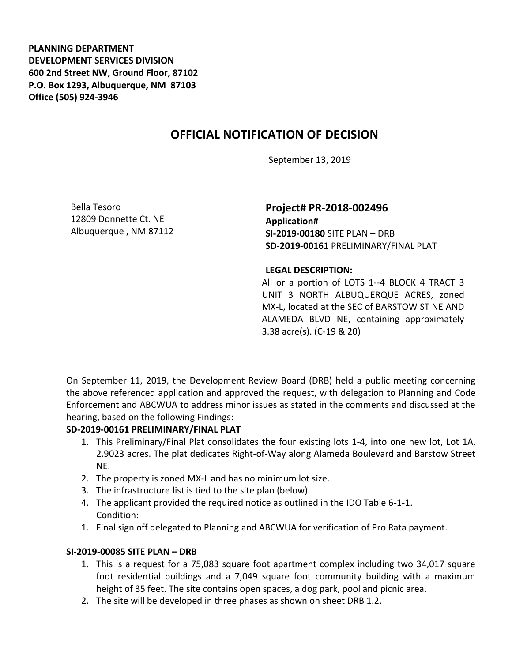**PLANNING DEPARTMENT DEVELOPMENT SERVICES DIVISION 600 2nd Street NW, Ground Floor, 87102 P.O. Box 1293, Albuquerque, NM 87103 Office (505) 924-3946** 

# **OFFICIAL NOTIFICATION OF DECISION**

September 13, 2019

Bella Tesoro 12809 Donnette Ct. NE Albuquerque , NM 87112

**Project# PR-2018-002496 Application# SI-2019-00180** SITE PLAN – DRB **SD-2019-00161** PRELIMINARY/FINAL PLAT

#### **LEGAL DESCRIPTION:**

All or a portion of LOTS 1--4 BLOCK 4 TRACT 3 UNIT 3 NORTH ALBUQUERQUE ACRES, zoned MX-L, located at the SEC of BARSTOW ST NE AND ALAMEDA BLVD NE, containing approximately 3.38 acre(s). (C-19 & 20)

On September 11, 2019, the Development Review Board (DRB) held a public meeting concerning the above referenced application and approved the request, with delegation to Planning and Code Enforcement and ABCWUA to address minor issues as stated in the comments and discussed at the hearing, based on the following Findings:

#### **SD-2019-00161 PRELIMINARY/FINAL PLAT**

- 1. This Preliminary/Final Plat consolidates the four existing lots 1-4, into one new lot, Lot 1A, 2.9023 acres. The plat dedicates Right-of-Way along Alameda Boulevard and Barstow Street NE.
- 2. The property is zoned MX-L and has no minimum lot size.
- 3. The infrastructure list is tied to the site plan (below).
- 4. The applicant provided the required notice as outlined in the IDO Table 6-1-1. Condition:
- 1. Final sign off delegated to Planning and ABCWUA for verification of Pro Rata payment.

### **SI-2019-00085 SITE PLAN – DRB**

- 1. This is a request for a 75,083 square foot apartment complex including two 34,017 square foot residential buildings and a 7,049 square foot community building with a maximum height of 35 feet. The site contains open spaces, a dog park, pool and picnic area.
- 2. The site will be developed in three phases as shown on sheet DRB 1.2.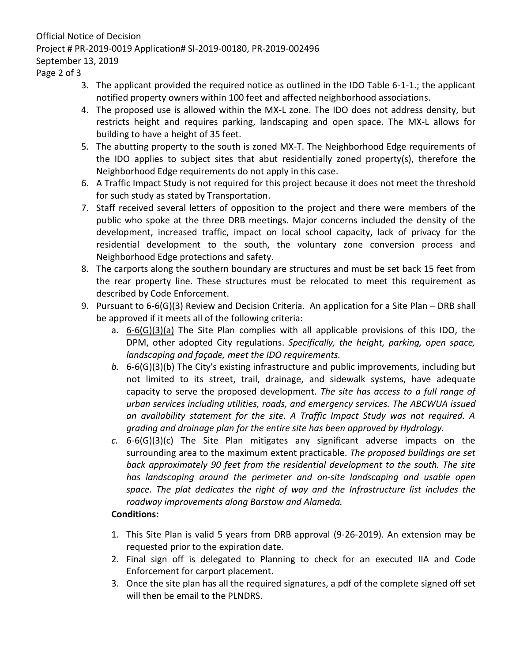## Official Notice of Decision Project # PR-2019-0019 Application# SI-2019-00180, PR-2019-002496 September 13, 2019

Page 2 of 3

- 3. The applicant provided the required notice as outlined in the IDO Table 6-1-1.; the applicant notified property owners within 100 feet and affected neighborhood associations.
- 4. The proposed use is allowed within the MX-L zone. The IDO does not address density, but restricts height and requires parking, landscaping and open space. The MX-L allows for building to have a height of 35 feet.
- 5. The abutting property to the south is zoned MX-T. The Neighborhood Edge requirements of the IDO applies to subject sites that abut residentially zoned property(s), therefore the Neighborhood Edge requirements do not apply in this case.
- 6. A Traffic Impact Study is not required for this project because it does not meet the threshold for such study as stated by Transportation.
- 7. Staff received several letters of opposition to the project and there were members of the public who spoke at the three DRB meetings. Major concerns included the density of the development, increased traffic, impact on local school capacity, lack of privacy for the residential development to the south, the voluntary zone conversion process and Neighborhood Edge protections and safety.
- 8. The carports along the southern boundary are structures and must be set back 15 feet from the rear property line. These structures must be relocated to meet this requirement as described by Code Enforcement.
- 9. Pursuant to 6-6(G)(3) Review and Decision Criteria. An application for a Site Plan DRB shall be approved if it meets all of the following criteria:
	- a.  $6-6(G)(3)(a)$  The Site Plan complies with all applicable provisions of this IDO, the DPM, other adopted City regulations. *Specifically, the height, parking, open space, landscaping and façade, meet the IDO requirements.*
	- *b.* 6-6(G)(3)(b) The City's existing infrastructure and public improvements, including but not limited to its street, trail, drainage, and sidewalk systems, have adequate capacity to serve the proposed development. *The site has access to a full range of urban services including utilities, roads, and emergency services. The ABCWUA issued an availability statement for the site. A Traffic Impact Study was not required. A grading and drainage plan for the entire site has been approved by Hydrology.*
	- *c.* 6-6(G)(3)(c) The Site Plan mitigates any significant adverse impacts on the surrounding area to the maximum extent practicable. *The proposed buildings are set back approximately 90 feet from the residential development to the south. The site has landscaping around the perimeter and on-site landscaping and usable open space. The plat dedicates the right of way and the Infrastructure list includes the roadway improvements along Barstow and Alameda.*

## **Conditions:**

- 1. This Site Plan is valid 5 years from DRB approval (9-26-2019). An extension may be requested prior to the expiration date.
- 2. Final sign off is delegated to Planning to check for an executed IIA and Code Enforcement for carport placement.
- 3. Once the site plan has all the required signatures, a pdf of the complete signed off set will then be email to the PLNDRS.